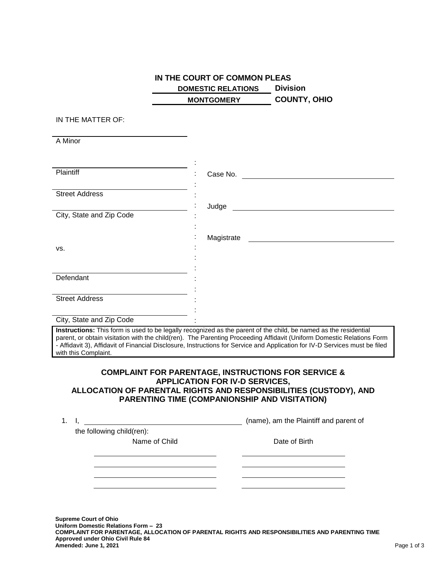## **IN THE COURT OF COMMON PLEAS DOMESTIC RELATIONS Division MONTGOMERY COUNTY, OHIO**

## IN THE MATTER OF:

A Minor

| Plaintiff                                                                                                       | Case No.   |  |  |  |
|-----------------------------------------------------------------------------------------------------------------|------------|--|--|--|
|                                                                                                                 |            |  |  |  |
| <b>Street Address</b>                                                                                           |            |  |  |  |
|                                                                                                                 | Judge      |  |  |  |
| City, State and Zip Code                                                                                        |            |  |  |  |
|                                                                                                                 |            |  |  |  |
|                                                                                                                 |            |  |  |  |
|                                                                                                                 | Magistrate |  |  |  |
| VS.                                                                                                             |            |  |  |  |
|                                                                                                                 |            |  |  |  |
|                                                                                                                 |            |  |  |  |
| Defendant                                                                                                       |            |  |  |  |
|                                                                                                                 |            |  |  |  |
|                                                                                                                 |            |  |  |  |
| <b>Street Address</b>                                                                                           |            |  |  |  |
|                                                                                                                 |            |  |  |  |
| City, State and Zip Code                                                                                        |            |  |  |  |
| Instructions: This form is used to be leasily recognized as the parent of the child he named as the residential |            |  |  |  |

**Instructions:** This form is used to be legally recognized as the parent of the child, be named as the residential parent, or obtain visitation with the child(ren). The Parenting Proceeding Affidavit (Uniform Domestic Relations Form - Affidavit 3), Affidavit of Financial Disclosure, Instructions for Service and Application for IV-D Services must be filed with this Complaint.

## **COMPLAINT FOR PARENTAGE, INSTRUCTIONS FOR SERVICE & APPLICATION FOR IV-D SERVICES, ALLOCATION OF PARENTAL RIGHTS AND RESPONSIBILITIES (CUSTODY), AND PARENTING TIME (COMPANIONSHIP AND VISITATION)**

| 1. |                           | (name), am the Plaintiff and parent of |
|----|---------------------------|----------------------------------------|
|    | the following child(ren): |                                        |
|    | Name of Child             | Date of Birth                          |
|    |                           |                                        |
|    |                           |                                        |
|    |                           |                                        |
|    |                           |                                        |
|    |                           |                                        |
|    |                           |                                        |
|    |                           |                                        |

**Supreme Court of Ohio Uniform Domestic Relations Form – 23 COMPLAINT FOR PARENTAGE, ALLOCATION OF PARENTAL RIGHTS AND RESPONSIBILITIES AND PARENTING TIME Approved under Ohio Civil Rule 84 Amended: June 1, 2021** Page 1 of 3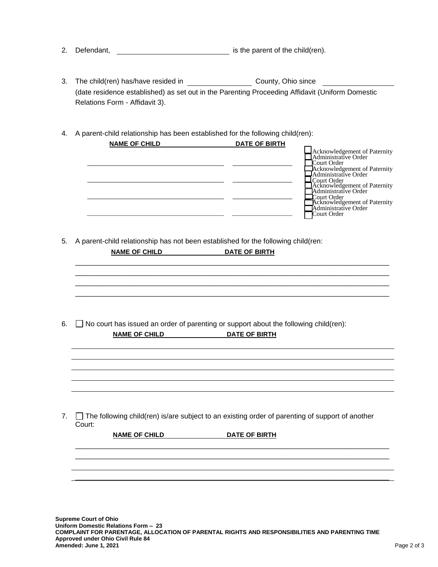- 2. Defendant, **interest and the child** is the parent of the child(ren).
- 3. The child(ren) has/have resided in County, Ohio since (date residence established) as set out in the Parenting Proceeding Affidavit (Uniform Domestic Relations Form - Affidavit 3).
- 4. A parent-child relationship has been established for the following child(ren):

| <b>NAME OF CHILD</b> | <b>DATE OF BIRTH</b> |                                                      |
|----------------------|----------------------|------------------------------------------------------|
|                      |                      | Acknowledgement of Paternity<br>Administrative Order |
|                      |                      |                                                      |
|                      |                      | Court Order                                          |
|                      |                      | Acknowledgement of Paternity                         |
|                      |                      | Administrative Order                                 |
|                      |                      | <b>LCourt Order</b>                                  |
|                      |                      | Acknowledgement of Paternity                         |
|                      |                      | Administrative Order                                 |
|                      |                      | Court Order<br>Acknowledgement of Paternity          |
|                      |                      | Administrative Order                                 |
|                      |                      | Court Order                                          |
|                      |                      |                                                      |

5. A parent-child relationship has not been established for the following child(ren:

**NAME OF CHILD DATE OF BIRTH** \_\_\_\_\_\_\_\_\_\_\_\_\_\_\_\_\_\_\_\_\_\_\_\_\_\_\_\_\_\_\_\_\_\_\_\_\_\_\_\_\_\_\_\_\_\_\_\_\_\_\_\_\_\_\_\_\_\_\_\_\_\_\_\_\_\_\_\_\_\_\_\_\_\_\_\_\_\_\_ \_\_\_\_\_\_\_\_\_\_\_\_\_\_\_\_\_\_\_\_\_\_\_\_\_\_\_\_\_\_\_\_\_\_\_\_\_\_\_\_\_\_\_\_\_\_\_\_\_\_\_\_\_\_\_\_\_\_\_\_\_\_\_\_\_\_\_\_\_\_\_\_\_\_\_\_\_\_\_ \_\_\_\_\_\_\_\_\_\_\_\_\_\_\_\_\_\_\_\_\_\_\_\_\_\_\_\_\_\_\_\_\_\_\_\_\_\_\_\_\_\_\_\_\_\_\_\_\_\_\_\_\_\_\_\_\_\_\_\_\_\_\_\_\_\_\_\_\_\_\_\_\_\_\_\_\_\_\_ \_\_\_\_\_\_\_\_\_\_\_\_\_\_\_\_\_\_\_\_\_\_\_\_\_\_\_\_\_\_\_\_\_\_\_\_\_\_\_\_\_\_\_\_\_\_\_\_\_\_\_\_\_\_\_\_\_\_\_\_\_\_\_\_\_\_\_\_\_\_\_\_\_\_\_\_\_\_\_ 6.  $\Box$  No court has issued an order of parenting or support about the following child(ren): **NAME OF CHILD DATE OF BIRTH** 7.  $\Box$  The following child(ren) is/are subject to an existing order of parenting of support of another Court: **NAME OF CHILD DATE OF BIRTH** \_\_\_\_\_\_\_\_\_\_\_\_\_\_\_\_\_\_\_\_\_\_\_\_\_\_\_\_\_\_\_\_\_\_\_\_\_\_\_\_\_\_\_\_\_\_\_\_\_\_\_\_\_\_\_\_\_\_\_\_\_\_\_\_\_\_\_\_\_\_\_\_\_\_\_\_\_\_\_ \_\_\_\_\_\_\_\_\_\_\_\_\_\_\_\_\_\_\_\_\_\_\_\_\_\_\_\_\_\_\_\_\_\_\_\_\_\_\_\_\_\_\_\_\_\_\_\_\_\_\_\_\_\_\_\_\_\_\_\_\_\_\_\_\_\_\_\_\_\_\_\_\_\_\_\_\_\_\_ \_\_\_\_\_\_\_\_\_\_\_\_\_\_\_\_\_\_\_\_\_\_\_\_\_\_\_\_\_\_\_\_\_\_\_\_\_\_\_\_\_\_\_\_\_\_\_\_\_\_\_\_\_\_\_\_\_\_\_\_\_\_\_\_\_\_\_\_\_\_\_\_\_\_\_\_\_\_\_